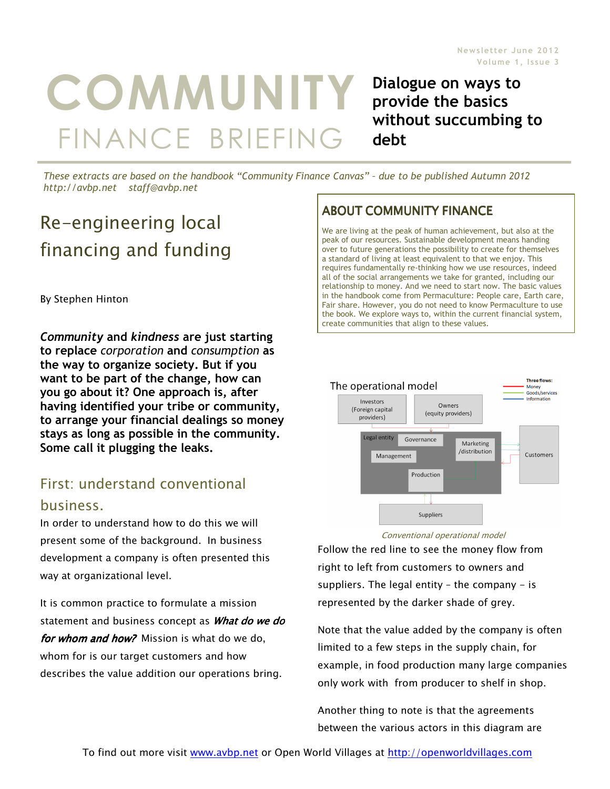# COMMUNITY FINANCE BRIEFING

Dialogue on ways to provide the basics without succumbing to debt

These extracts are based on the handbook "Community Finance Canvas" – due to be published Autumn 2012 http://avbp.net staff@avbp.net

# Re-engineering local financing and funding

By Stephen Hinton

Community and kindness are just starting to replace corporation and consumption as the way to organize society. But if you want to be part of the change, how can you go about it? One approach is, after having identified your tribe or community, to arrange your financial dealings so money stays as long as possible in the community. Some call it plugging the leaks.

## First: understand conventional business.

In order to understand how to do this we will present some of the background. In business development a company is often presented this way at organizational level.

It is common practice to formulate a mission statement and business concept as *What do we do* for whom and how? Mission is what do we do, whom for is our target customers and how describes the value addition our operations bring.

#### **ABOUT COMMUNITY FINANCE**

We are living at the peak of human achievement, but also at the peak of our resources. Sustainable development means handing over to future generations the possibility to create for themselves a standard of living at least equivalent to that we enjoy. This requires fundamentally re-thinking how we use resources, indeed all of the social arrangements we take for granted, including our relationship to money. And we need to start now. The basic values in the handbook come from Permaculture: People care, Earth care, Fair share. However, you do not need to know Permaculture to use the book. We explore ways to, within the current financial system, create communities that align to these values.



Conventional operational model

Follow the red line to see the money flow from right to left from customers to owners and suppliers. The legal entity  $-$  the company  $-$  is represented by the darker shade of grey.

Note that the value added by the company is often limited to a few steps in the supply chain, for example, in food production many large companies only work with from producer to shelf in shop.

Another thing to note is that the agreements between the various actors in this diagram are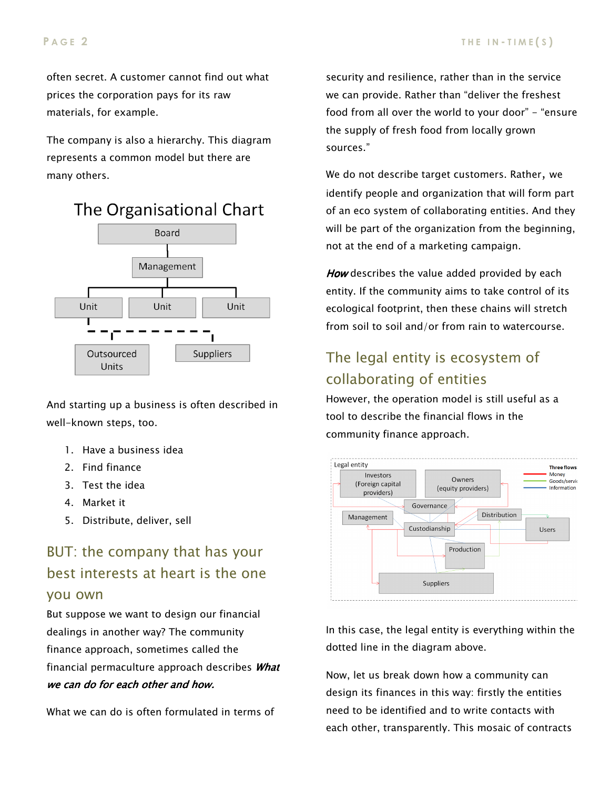often secret. A customer cannot find out what prices the corporation pays for its raw materials, for example.

The company is also a hierarchy. This diagram represents a common model but there are many others.





And starting up a business is often described in well-known steps, too.

- 1. Have a business idea
- 2. Find finance
- 3. Test the idea
- 4. Market it
- 5. Distribute, deliver, sell

# BUT: the company that has your best interests at heart is the one you own

But suppose we want to design our financial dealings in another way? The community finance approach, sometimes called the financial permaculture approach describes What we can do for each other and how.

What we can do is often formulated in terms of

security and resilience, rather than in the service we can provide. Rather than "deliver the freshest food from all over the world to your door" - "ensure the supply of fresh food from locally grown sources."

We do not describe target customers. Rather, we identify people and organization that will form part of an eco system of collaborating entities. And they will be part of the organization from the beginning, not at the end of a marketing campaign.

How describes the value added provided by each entity. If the community aims to take control of its ecological footprint, then these chains will stretch from soil to soil and/or from rain to watercourse.

# The legal entity is ecosystem of collaborating of entities

However, the operation model is still useful as a tool to describe the financial flows in the community finance approach.



In this case, the legal entity is everything within the dotted line in the diagram above.

Now, let us break down how a community can design its finances in this way: firstly the entities need to be identified and to write contacts with each other, transparently. This mosaic of contracts